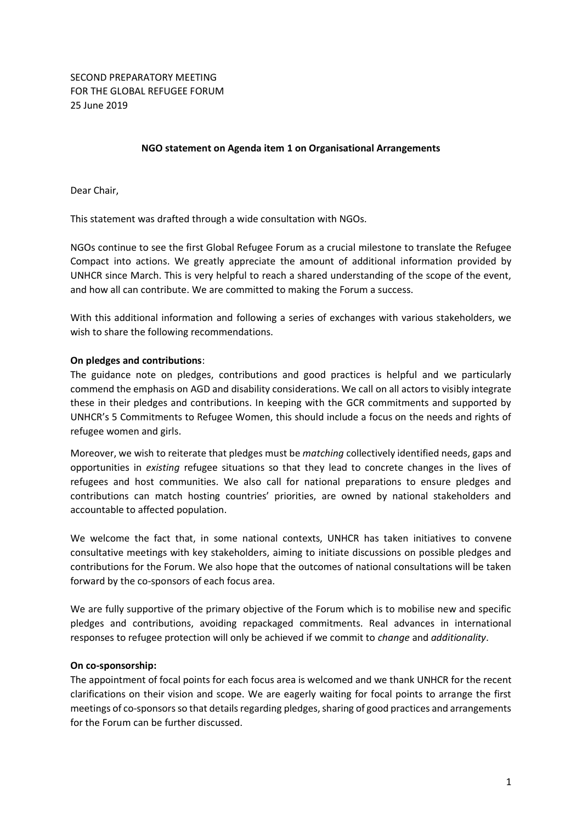## **NGO statement on Agenda item 1 on Organisational Arrangements**

Dear Chair,

This statement was drafted through a wide consultation with NGOs.

NGOs continue to see the first Global Refugee Forum as a crucial milestone to translate the Refugee Compact into actions. We greatly appreciate the amount of additional information provided by UNHCR since March. This is very helpful to reach a shared understanding of the scope of the event, and how all can contribute. We are committed to making the Forum a success.

With this additional information and following a series of exchanges with various stakeholders, we wish to share the following recommendations.

## **On pledges and contributions**:

The guidance note on pledges, contributions and good practices is helpful and we particularly commend the emphasis on AGD and disability considerations. We call on all actors to visibly integrate these in their pledges and contributions. In keeping with the GCR commitments and supported by UNHCR's 5 Commitments to Refugee Women, this should include a focus on the needs and rights of refugee women and girls.

Moreover, we wish to reiterate that pledges must be *matching* collectively identified needs, gaps and opportunities in *existing* refugee situations so that they lead to concrete changes in the lives of refugees and host communities. We also call for national preparations to ensure pledges and contributions can match hosting countries' priorities, are owned by national stakeholders and accountable to affected population.

We welcome the fact that, in some national contexts, UNHCR has taken initiatives to convene consultative meetings with key stakeholders, aiming to initiate discussions on possible pledges and contributions for the Forum. We also hope that the outcomes of national consultations will be taken forward by the co-sponsors of each focus area.

We are fully supportive of the primary objective of the Forum which is to mobilise new and specific pledges and contributions, avoiding repackaged commitments. Real advances in international responses to refugee protection will only be achieved if we commit to *change* and *additionality*.

#### **On co-sponsorship:**

The appointment of focal points for each focus area is welcomed and we thank UNHCR for the recent clarifications on their vision and scope. We are eagerly waiting for focal points to arrange the first meetings of co-sponsors so that details regarding pledges, sharing of good practices and arrangements for the Forum can be further discussed.